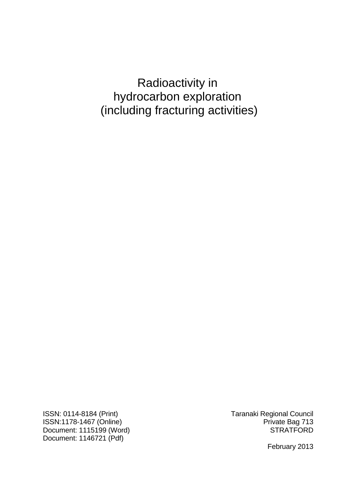# Radioactivity in hydrocarbon exploration (including fracturing activities)

ISSN: 0114-8184 (Print) Taranaki Regional Council ISSN:1178-1467 (Online)<br>Document: 1115199 (Word) Pocument: 1115199 (Word) Document: 1115199 (Word) Document: 1146721 (Pdf)

February 2013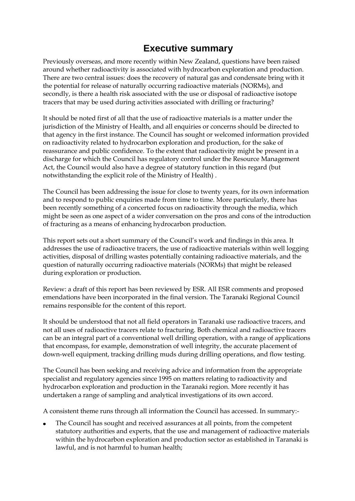# **Executive summary**

Previously overseas, and more recently within New Zealand, questions have been raised around whether radioactivity is associated with hydrocarbon exploration and production. There are two central issues: does the recovery of natural gas and condensate bring with it the potential for release of naturally occurring radioactive materials (NORMs), and secondly, is there a health risk associated with the use or disposal of radioactive isotope tracers that may be used during activities associated with drilling or fracturing?

It should be noted first of all that the use of radioactive materials is a matter under the jurisdiction of the Ministry of Health, and all enquiries or concerns should be directed to that agency in the first instance. The Council has sought or welcomed information provided on radioactivity related to hydrocarbon exploration and production, for the sake of reassurance and public confidence. To the extent that radioactivity might be present in a discharge for which the Council has regulatory control under the Resource Management Act, the Council would also have a degree of statutory function in this regard (but notwithstanding the explicit role of the Ministry of Health) .

The Council has been addressing the issue for close to twenty years, for its own information and to respond to public enquiries made from time to time. More particularly, there has been recently something of a concerted focus on radioactivity through the media, which might be seen as one aspect of a wider conversation on the pros and cons of the introduction of fracturing as a means of enhancing hydrocarbon production.

This report sets out a short summary of the Council's work and findings in this area. It addresses the use of radioactive tracers, the use of radioactive materials within well logging activities, disposal of drilling wastes potentially containing radioactive materials, and the question of naturally occurring radioactive materials (NORMs) that might be released during exploration or production.

Review: a draft of this report has been reviewed by ESR. All ESR comments and proposed emendations have been incorporated in the final version. The Taranaki Regional Council remains responsible for the content of this report.

It should be understood that not all field operators in Taranaki use radioactive tracers, and not all uses of radioactive tracers relate to fracturing. Both chemical and radioactive tracers can be an integral part of a conventional well drilling operation, with a range of applications that encompass, for example, demonstration of well integrity, the accurate placement of down-well equipment, tracking drilling muds during drilling operations, and flow testing.

The Council has been seeking and receiving advice and information from the appropriate specialist and regulatory agencies since 1995 on matters relating to radioactivity and hydrocarbon exploration and production in the Taranaki region. More recently it has undertaken a range of sampling and analytical investigations of its own accord.

A consistent theme runs through all information the Council has accessed. In summary:-

The Council has sought and received assurances at all points, from the competent statutory authorities and experts, that the use and management of radioactive materials within the hydrocarbon exploration and production sector as established in Taranaki is lawful, and is not harmful to human health;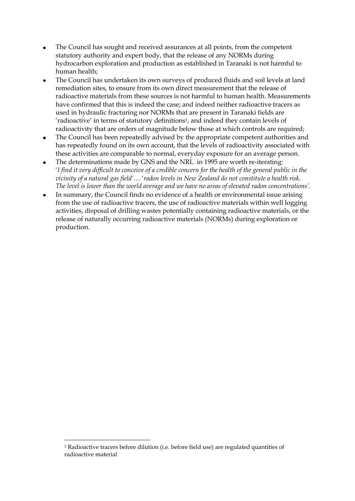- The Council has sought and received assurances at all points, from the competent  $\bullet$ statutory authority and expert body, that the release of any NORMs during hydrocarbon exploration and production as established in Taranaki is not harmful to human health;
- The Council has undertaken its own surveys of produced fluids and soil levels at land  $\bullet$ remediation sites, to ensure from its own direct measurement that the release of radioactive materials from these sources is not harmful to human health. Measurements have confirmed that this is indeed the case; and indeed neither radioactive tracers as used in hydraulic fracturing nor NORMs that are present in Taranaki fields are 'radioactive' in terms of statutory definitions<sup>1</sup>, and indeed they contain levels of radioactivity that are orders of magnitude below those at which controls are required;
- The Council has been repeatedly advised by the appropriate competent authorities and  $\bullet$ has repeatedly found on its own account, that the levels of radioactivity associated with these activities are comparable to normal, everyday exposure for an average person.
- The determinations made by GNS and the NRL in 1995 are worth re-iterating: '*I find it very difficult to conceive of a credible concern for the health of the general public in the vicinity of a natural gas field'*… '*radon levels in New Zealand do not constitute a health risk. The level is lower than the world average and we have no areas of elevated radon concentrations'.*
- In summary, the Council finds no evidence of a health or environmental issue arising  $\bullet$ from the use of radioactive tracers, the use of radioactive materials within well logging activities, disposal of drilling wastes potentially containing radioactive materials, or the release of naturally occurring radioactive materials (NORMs) during exploration or production.

-

<sup>1</sup> Radioactive tracers before dilution (i.e. before field use) are regulated quantities of radioactive material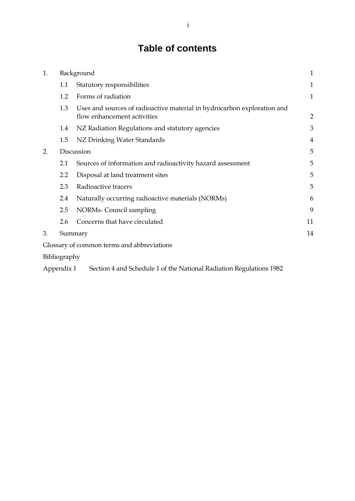# **Table of contents**

| 1. | Background   |                                                                                                        | 1              |
|----|--------------|--------------------------------------------------------------------------------------------------------|----------------|
|    | 1.1          | Statutory responsibilities                                                                             | $\mathbf 1$    |
|    | 1.2          | Forms of radiation                                                                                     | 1              |
|    | 1.3          | Uses and sources of radioactive material in hydrocarbon exploration and<br>flow enhancement activities | $\overline{2}$ |
|    | 1.4          | NZ Radiation Regulations and statutory agencies                                                        | 3              |
|    | 1.5          | NZ Drinking Water Standards                                                                            | 4              |
| 2. | Discussion   |                                                                                                        | 5              |
|    | 2.1          | Sources of information and radioactivity hazard assessment                                             | 5              |
|    | 2.2          | Disposal at land treatment sites                                                                       | 5              |
|    | 2.3          | Radioactive tracers                                                                                    | 5              |
|    | 2.4          | Naturally occurring radioactive materials (NORMs)                                                      | 6              |
|    | 2.5          | NORMs- Council sampling                                                                                | 9              |
|    | 2.6          | Concerns that have circulated                                                                          | 11             |
| 3. |              | Summary                                                                                                |                |
|    |              | Glossary of common terms and abbreviations                                                             |                |
|    | Bibliography |                                                                                                        |                |

[Appendix 1 Section 4 and Schedule 1 of the National Radiation Regulations 1982](#page-22-0)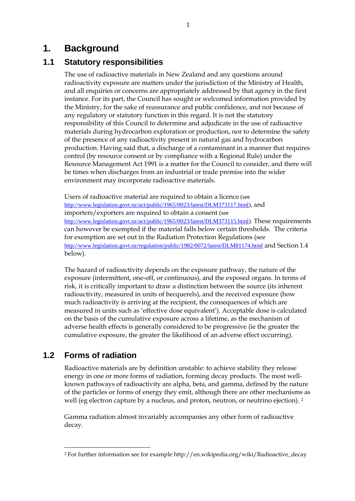# <span id="page-6-0"></span>**1. Background**

## <span id="page-6-1"></span>**1.1 Statutory responsibilities**

The use of radioactive materials in New Zealand and any questions around radioactivity exposure are matters under the jurisdiction of the Ministry of Health, and all enquiries or concerns are appropriately addressed by that agency in the first instance. For its part, the Council has sought or welcomed information provided by the Ministry, for the sake of reassurance and public confidence, and not because of any regulatory or statutory function in this regard. It is not the statutory responsibility of this Council to determine and adjudicate in the use of radioactive materials during hydrocarbon exploration or production, nor to determine the safety of the presence of any radioactivity present in natural gas and hydrocarbon production. Having said that, a discharge of a contaminant in a manner that requires control (by resource consent or by compliance with a Regional Rule) under the Resource Management Act 1991 is a matter for the Council to consider, and there will be times when discharges from an industrial or trade premise into the wider environment may incorporate radioactive materials.

Users of radioactive material are required to obtain a licence (see [http://www.legislation.govt.nz/act/public/1965/0023/latest/DLM373117.html\)](http://www.legislation.govt.nz/act/public/1965/0023/latest/DLM373117.html), and importers/exporters are required to obtain a consent (see [http://www.legislation.govt.nz/act/public/1965/0023/latest/DLM373115.html\)](http://www.legislation.govt.nz/act/public/1965/0023/latest/DLM373115.html). These requirements can however be exempted if the material falls below certain thresholds. The criteria for exemption are set out in the Radiation Protection Regulations (see [http://www.legislation.govt.nz/regulation/public/1982/0072/latest/DLM81174.html](http://www.legislation.govt.nz/regulation/public/1982/0072/latest/DLM81174.html%20and%20Section%201.4) and Section 1.4 below).

The hazard of radioactivity depends on the exposure pathway, the nature of the exposure (intermittent, one-off, or continuous), and the exposed organs. In terms of risk, it is critically important to draw a distinction between the source (its inherent radioactivity, measured in units of becquerels), and the received exposure (how much radioactivity is arriving at the recipient, the consequences of which are measured in units such as 'effective dose equivalent'). Acceptable dose is calculated on the basis of the cumulative exposure across a lifetime, as the mechanism of adverse health effects is generally considered to be progressive (ie the greater the cumulative exposure, the greater the likelihood of an adverse effect occurring).

# <span id="page-6-2"></span>**1.2 Forms of radiation**

-

Radioactive materials are by definition unstable: to achieve stability they release energy in one or more forms of radiation, forming decay products. The most wellknown pathways of radioactivity are alpha, beta, and gamma, defined by the nature of the particles or forms of energy they emit, although there are other mechanisms as well (eg electron capture by a nucleus, and proton, neutron, or neutrino ejection). <sup>2</sup>

Gamma radiation almost invariably accompanies any other form of radioactive decay.

<sup>2</sup> For further information see for example http://en.wikipedia.org/wiki/Radioactive\_decay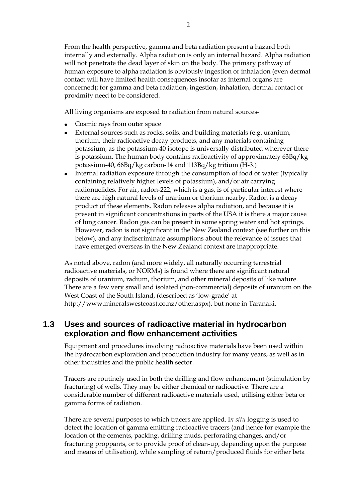From the health perspective, gamma and beta radiation present a hazard both internally and externally. Alpha radiation is only an internal hazard. Alpha radiation will not penetrate the dead layer of skin on the body. The primary pathway of human exposure to alpha radiation is obviously ingestion or inhalation (even dermal contact will have limited health consequences insofar as internal organs are concerned); for gamma and beta radiation, ingestion, inhalation, dermal contact or proximity need to be considered.

All living organisms are exposed to radiation from natural sources-

- Cosmic rays from outer space
- External sources such as rocks, soils, and building materials (e.g. uranium, thorium, their radioactive decay products, and any materials containing potassium, as the potassium-40 isotope is universally distributed wherever there is potassium. The human body contains radioactivity of approximately 63Bq/kg potassium-40, 66Bq/kg carbon-14 and 113Bq/kg tritium (H-3.)
- Internal radiation exposure through the consumption of food or water (typically containing relatively higher levels of potassium), and/or air carrying radionuclides. For air, radon-222, which is a gas, is of particular interest where there are high natural levels of uranium or thorium nearby. Radon is a decay product of these elements. Radon releases alpha radiation, and because it is present in significant concentrations in parts of the USA it is there a major cause of lung cancer. Radon gas can be present in some spring water and hot springs. However, radon is not significant in the New Zealand context (see further on this below), and any indiscriminate assumptions about the relevance of issues that have emerged overseas in the New Zealand context are inappropriate.

As noted above, radon (and more widely, all naturally occurring terrestrial radioactive materials, or NORMs) is found where there are significant natural deposits of uranium, radium, thorium, and other mineral deposits of like nature. There are a few very small and isolated (non-commercial) deposits of uranium on the West Coast of the South Island, (described as 'low-grade' at http://www.mineralswestcoast.co.nz/other.aspx), but none in Taranaki.

### <span id="page-7-0"></span>**1.3 Uses and sources of radioactive material in hydrocarbon exploration and flow enhancement activities**

Equipment and procedures involving radioactive materials have been used within the hydrocarbon exploration and production industry for many years, as well as in other industries and the public health sector.

Tracers are routinely used in both the drilling and flow enhancement (stimulation by fracturing) of wells. They may be either chemical or radioactive. There are a considerable number of different radioactive materials used, utilising either beta or gamma forms of radiation.

There are several purposes to which tracers are applied. I*n situ* logging is used to detect the location of gamma emitting radioactive tracers (and hence for example the location of the cements, packing, drilling muds, perforating changes, and/or fracturing proppants, or to provide proof of clean-up, depending upon the purpose and means of utilisation), while sampling of return/produced fluids for either beta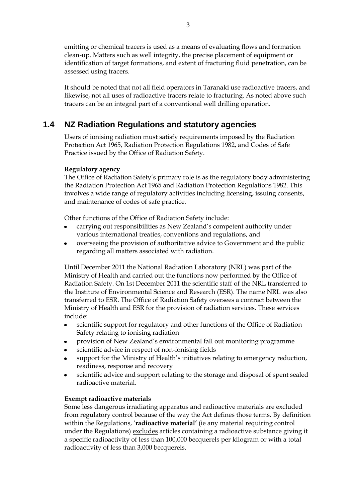emitting or chemical tracers is used as a means of evaluating flows and formation clean-up. Matters such as well integrity, the precise placement of equipment or identification of target formations, and extent of fracturing fluid penetration, can be assessed using tracers.

It should be noted that not all field operators in Taranaki use radioactive tracers, and likewise, not all uses of radioactive tracers relate to fracturing. As noted above such tracers can be an integral part of a conventional well drilling operation.

## <span id="page-8-0"></span>**1.4 NZ Radiation Regulations and statutory agencies**

Users of ionising radiation must satisfy requirements imposed by the Radiation Protection Act 1965, Radiation Protection Regulations 1982, and Codes of Safe Practice issued by the Office of Radiation Safety.

#### **Regulatory agency**

The Office of Radiation Safety's primary role is as the regulatory body administering the [Radiation Protection Act 1965](http://www.legislation.govt.nz/act/public/1965/0023/latest/DLM372539.html) and [Radiation Protection Regulations 1982.](http://www.legislation.govt.nz/regulation/public/1982/0072/latest/DLM81126.html) This involves a wide range of regulatory activities including licensing, issuing consents, and maintenance of codes of safe practice.

Other functions of the Office of Radiation Safety include:

- carrying out responsibilities as New Zealand's competent authority under  $\bullet$ various international treaties, conventions and regulations, and
- overseeing the provision of authoritative advice to Government and the public  $\bullet$ regarding all matters associated with radiation.

Until December 2011 the National Radiation Laboratory (NRL) was part of the Ministry of Health and carried out the functions now performed by the Office of Radiation Safety. On 1st December 2011 the scientific staff of the NRL transferred to the Institute of Environmental Science and Research (ESR). The name NRL was also transferred to ESR. The Office of Radiation Safety oversees a contract between the Ministry of Health and ESR for the provision of radiation services. These services include:

- scientific support for regulatory and other functions of the Office of Radiation  $\bullet$ Safety relating to ionising radiation
- provision of New Zealand's environmental fall out monitoring programme
- scientific advice in respect of non-ionising fields
- support for the Ministry of Health's initiatives relating to emergency reduction, readiness, response and recovery
- scientific advice and support relating to the storage and disposal of spent sealed radioactive material.

#### **Exempt radioactive materials**

Some less dangerous irradiating apparatus and radioactive materials are excluded from regulatory control because of the way the Act defines those terms. By definition within the Regulations, '**radioactive material'** (ie any material requiring control under the Regulations) excludes articles containing a radioactive substance giving it a specific radioactivity of less than 100,000 becquerels per kilogram or with a total radioactivity of less than 3,000 becquerels.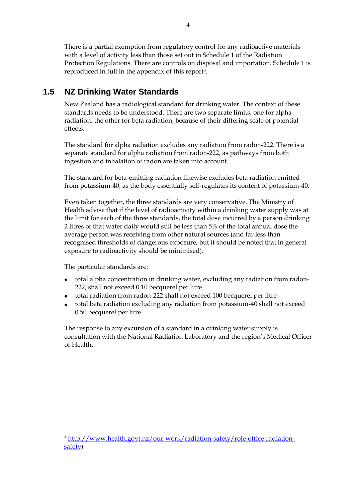There is a partial exemption from regulatory control for any radioactive materials with a level of activity less than those set out in Schedule 1 of the Radiation Protection Regulations. There are controls on disposal and importation. Schedule 1 is reproduced in full in the appendix of this report3.

# <span id="page-9-0"></span>**1.5 NZ Drinking Water Standards**

New Zealand has a radiological standard for drinking water. The context of these standards needs to be understood. There are two separate limits, one for alpha radiation, the other for beta radiation, because of their differing scale of potential effects.

The standard for alpha radiation excludes any radiation from radon-222. There is a separate standard for alpha radiation from radon-222, as pathways from both ingestion and inhalation of radon are taken into account.

The standard for beta-emitting radiation likewise excludes beta radiation emitted from potassium-40, as the body essentially self-regulates its content of potassium-40.

Even taken together, the three standards are very conservative. The Ministry of Health advise that if the level of radioactivity within a drinking water supply was at the limit for each of the three standards, the total dose incurred by a person drinking 2 litres of that water daily would still be less than 5% of the total annual dose the average person was receiving from other natural sources (and far less than recognised thresholds of dangerous exposure, but it should be noted that in general exposure to radioactivity should be minimised).

The particular standards are:

<u>.</u>

- total alpha concentration in drinking water, excluding any radiation from radon-222, shall not exceed 0.10 becquerel per litre
- total radiation from radon-222 shall not exceed 100 becquerel per litre  $\bullet$
- total beta radiation excluding any radiation from potassium-40 shall not exceed 0.50 becquerel per litre.

The response to any excursion of a standard in a drinking water supply is consultation with the National Radiation Laboratory and the region's Medical Officer of Health.

<sup>&</sup>lt;sup>3</sup> [http://www.health.govt.nz/our-work/radiation-safety/role-office-radiation](http://www.health.govt.nz/our-work/radiation-safety/role-office-radiation-safety)[safety](http://www.health.govt.nz/our-work/radiation-safety/role-office-radiation-safety))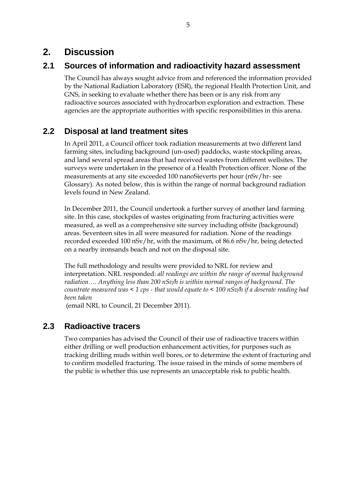# <span id="page-10-0"></span>**2. Discussion**

# <span id="page-10-1"></span>**2.1 Sources of information and radioactivity hazard assessment**

The Council has always sought advice from and referenced the information provided by the National Radiation Laboratory (ESR), the regional Health Protection Unit, and GNS, in seeking to evaluate whether there has been or is any risk from any radioactive sources associated with hydrocarbon exploration and extraction. These agencies are the appropriate authorities with specific responsibilities in this arena.

## <span id="page-10-2"></span>**2.2 Disposal at land treatment sites**

In April 2011, a Council officer took radiation measurements at two different land farming sites, including background (un-used) paddocks, waste stockpiling areas, and land several spread areas that had received wastes from different wellsites. The surveys were undertaken in the presence of a Health Protection officer. None of the measurements at any site exceeded 100 nanoSieverts per hour (nSv/hr- see Glossary). As noted below, this is within the range of normal background radiation levels found in New Zealand.

In December 2011, the Council undertook a further survey of another land farming site. In this case, stockpiles of wastes originating from fracturing activities were measured, as well as a comprehensive site survey including offsite (background) areas. Seventeen sites in all were measured for radiation. None of the readings recorded exceeded 100 nSv/hr, with the maximum, of 86.6 nSv/hr, being detected on a nearby ironsands beach and not on the disposal site.

The full methodology and results were provided to NRL for review and interpretation. NRL responded: *all readings are within the range of normal background radiation…. Anything less than 200 nSv/h is within normal ranges of background. The countrate measured was < 1 cps - that would equate to < 100 nSv/h if a doserate reading had been taken*

(email NRL to Council, 21 December 2011).

## <span id="page-10-3"></span>**2.3 Radioactive tracers**

Two companies has advised the Council of their use of radioactive tracers within either drilling or well production enhancement activities, for purposes such as tracking drilling muds within well bores, or to determine the extent of fracturing and to confirm modelled fracturing. The issue raised in the minds of some members of the public is whether this use represents an unacceptable risk to public health.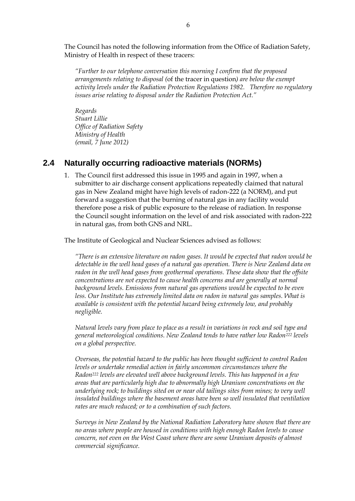The Council has noted the following information from the Office of Radiation Safety, Ministry of Health in respect of these tracers:

*"Further to our telephone conversation this morning I confirm that the proposed arrangements relating to disposal (*of the tracer in question*) are below the exempt activity levels under the Radiation Protection Regulations 1982. Therefore no regulatory issues arise relating to disposal under the Radiation Protection Act."*

*Regards Stuart Lillie Office of Radiation Safety Ministry of Health (email, 7 June 2012)*

### <span id="page-11-0"></span>**2.4 Naturally occurring radioactive materials (NORMs)**

1. The Council first addressed this issue in 1995 and again in 1997, when a submitter to air discharge consent applications repeatedly claimed that natural gas in New Zealand might have high levels of radon-222 (a NORM), and put forward a suggestion that the burning of natural gas in any facility would therefore pose a risk of public exposure to the release of radiation. In response the Council sought information on the level of and risk associated with radon-222 in natural gas, from both GNS and NRL.

The Institute of Geological and Nuclear Sciences advised as follows:

*"There is an extensive literature on radon gases. It would be expected that radon would be detectable in the well head gases of a natural gas operation. There is New Zealand data on radon in the well head gases from geothermal operations. These data show that the offsite concentrations are not expected to cause health concerns and are generally at normal background levels. Emissions from natural gas operations would be expected to be even*  less. Our Institute has extremely limited data on radon in natural gas samples. What is *available is consistent with the potential hazard being extremely low, and probably negligible.*

*Natural levels vary from place to place as a result in variations in rock and soil type and general meteorological conditions. New Zealand tends to have rather low Radon<sup>222</sup> levels on a global perspective.* 

*Overseas, the potential hazard to the public has been thought sufficient to control Radon levels or undertake remedial action in fairly uncommon circumstances where the Radon<sup>222</sup> levels are elevated well above background levels. This has happened in a few areas that are particularly high due to abnormally high Uranium concentrations on the underlying rock; to buildings sited on or near old tailings sites from mines; to very well insulated buildings where the basement areas have been so well insulated that ventilation rates are much reduced; or to a combination of such factors.*

*Surveys in New Zealand by the National Radiation Laboratory have shown that there are no areas where people are housed in conditions with high enough Radon levels to cause concern, not even on the West Coast where there are some Uranium deposits of almost commercial significance.*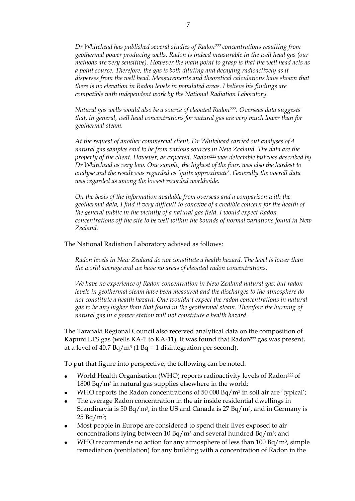*Dr Whitehead has published several studies of Radon222 concentrations resulting from geothermal power producing wells. Radon is indeed measurable in the well head gas (our methods are very sensitive). However the main point to grasp is that the well head acts as a point source. Therefore, the gas is both diluting and decaying radioactively as it disperses from the well head. Measurements and theoretical calculations have shown that there is no elevation in Radon levels in populated areas. I believe his findings are compatible with independent work by the National Radiation Laboratory.*

*Natural gas wells would also be a source of elevated Radon222. Overseas data suggests that, in general, well head concentrations for natural gas are very much lower than for geothermal steam.*

*At the request of another commercial client, Dr Whitehead carried out analyses of 4 natural gas samples said to be from various sources in New Zealand. The data are the property of the client. However, as expected, Radon<sup>222</sup> was detectable but was described by Dr Whitehead as very low. One sample, the highest of the four, was also the hardest to analyse and the result was regarded as 'quite approximate'. Generally the overall data was regarded as among the lowest recorded worldwide.*

*On the basis of the information available from overseas and a comparison with the geothermal data, I find it very difficult to conceive of a credible concern for the health of the general public in the vicinity of a natural gas field. I would expect Radon concentrations off the site to be well within the bounds of normal variations found in New Zealand.*

The National Radiation Laboratory advised as follows:

*Radon levels in New Zealand do not constitute a health hazard. The level is lower than the world average and we have no areas of elevated radon concentrations.*

*We have no experience of Radon concentration in New Zealand natural gas: but radon levels in geothermal steam have been measured and the discharges to the atmosphere do not constitute a health hazard. One wouldn't expect the radon concentrations in natural gas to be any higher than that found in the geothermal steam. Therefore the burning of natural gas in a power station will not constitute a health hazard.*

The Taranaki Regional Council also received analytical data on the composition of Kapuni LTS gas (wells KA-1 to KA-11). It was found that Radon<sup>222</sup> gas was present, at a level of  $40.7$  Bq/m<sup>3</sup> (1 Bq = 1 disintegration per second).

To put that figure into perspective, the following can be noted:

- World Health Organisation (WHO) reports radioactivity levels of Radon<sup>222</sup> of 1800 Bq/m<sup>3</sup> in natural gas supplies elsewhere in the world;
- WHO reports the Radon concentrations of 50 000 Bq/m<sup>3</sup> in soil air are 'typical';
- The average Radon concentration in the air inside residential dwellings in Scandinavia is 50 Bq/m<sup>3</sup>, in the US and Canada is 27 Bq/m<sup>3</sup>, and in Germany is  $25 Bq/m^3;$
- Most people in Europe are considered to spend their lives exposed to air concentrations lying between 10 Bq/m<sup>3</sup> and several hundred Bq/m<sup>3</sup>; and
- WHO recommends no action for any atmosphere of less than  $100$  Bq/m<sup>3</sup>, simple remediation (ventilation) for any building with a concentration of Radon in the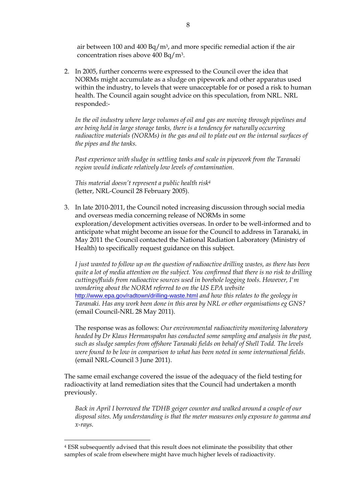air between 100 and 400  $Bq/m<sup>3</sup>$ , and more specific remedial action if the air concentration rises above 400 Bq/m3.

2. In 2005, further concerns were expressed to the Council over the idea that NORMs might accumulate as a sludge on pipework and other apparatus used within the industry, to levels that were unacceptable for or posed a risk to human health. The Council again sought advice on this speculation, from NRL. NRL responded:-

*In the oil industry where large volumes of oil and gas are moving through pipelines and are being held in large storage tanks, there is a tendency for naturally occurring radioactive materials (NORMs) in the gas and oil to plate out on the internal surfaces of the pipes and the tanks.*

*Past experience with sludge in settling tanks and scale in pipework from the Taranaki region would indicate relatively low levels of contamination.*

*This material doesn't represent a public health risk<sup>4</sup>* (letter, NRL-Council 28 February 2005).

3. In late 2010-2011, the Council noted increasing discussion through social media and overseas media concerning release of NORMs in some exploration/development activities overseas. In order to be well-informed and to anticipate what might become an issue for the Council to address in Taranaki, in May 2011 the Council contacted the National Radiation Laboratory (Ministry of Health) to specifically request guidance on this subject.

*I just wanted to follow up on the question of radioactive drilling wastes, as there has been quite a lot of media attention on the subject. You confirmed that there is no risk to drilling cuttings/fluids from radioactive sources used in borehole logging tools. However, I'm wondering about the NORM referred to on the US EPA website* <http://www.epa.gov/radtown/drilling-waste.html> *and how this relates to the geology in Taranaki. Has any work been done in this area by NRL or other organisations eg GNS?* (email Council-NRL 28 May 2011).

The response was as follows: *Our environmental radioactivity monitoring laboratory headed by Dr Klaus Hermanspahn has conducted some sampling and analysis in the past, such as sludge samples from offshore Taranaki fields on behalf of Shell Todd. The levels were found to be low in comparison to what has been noted in some international fields*. (email NRL-Council 3 June 2011).

The same email exchange covered the issue of the adequacy of the field testing for radioactivity at land remediation sites that the Council had undertaken a month previously.

*Back in April I borrowed the TDHB geiger counter and walked around a couple of our disposal sites. My understanding is that the meter measures only exposure to gamma and x-rays.* 

-

<sup>4</sup> ESR subsequently advised that this result does not eliminate the possibility that other samples of scale from elsewhere might have much higher levels of radioactivity.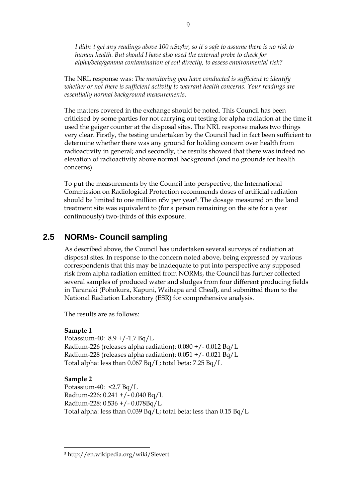*I didn't get any readings above 100 nSv/hr, so it's safe to assume there is no risk to human health. But should I have also used the external probe to check for alpha/beta/gamma contamination of soil directly, to assess environmental risk?* 

The NRL response was: *The monitoring you have conducted is sufficient to identify whether or not there is sufficient activity to warrant health concerns. Your readings are essentially normal background measurements.*

The matters covered in the exchange should be noted. This Council has been criticised by some parties for not carrying out testing for alpha radiation at the time it used the geiger counter at the disposal sites. The NRL response makes two things very clear. Firstly, the testing undertaken by the Council had in fact been sufficient to determine whether there was any ground for holding concern over health from radioactivity in general; and secondly, the results showed that there was indeed no elevation of radioactivity above normal background (and no grounds for health concerns).

To put the measurements by the Council into perspective, the International Commission on Radiological Protection recommends doses of artificial radiation should be limited to one million nSv per year5. The dosage measured on the land treatment site was equivalent to (for a person remaining on the site for a year continuously) two-thirds of this exposure.

## <span id="page-14-0"></span>**2.5 NORMs- Council sampling**

As described above, the Council has undertaken several surveys of radiation at disposal sites. In response to the concern noted above, being expressed by various correspondents that this may be inadequate to put into perspective any supposed risk from alpha radiation emitted from NORMs, the Council has further collected several samples of produced water and sludges from four different producing fields in Taranaki (Pohokura, Kapuni, Waihapa and Cheal), and submitted them to the National Radiation Laboratory (ESR) for comprehensive analysis.

The results are as follows:

#### **Sample 1**

Potassium-40: 8.9 +/-1.7 Bq/L Radium-226 (releases alpha radiation): 0.080 +/- 0.012 Bq/L Radium-228 (releases alpha radiation): 0.051 +/- 0.021 Bq/L Total alpha: less than 0.067 Bq/L; total beta: 7.25 Bq/L

#### **Sample 2**

-

Potassium-40: <2.7 Bq/L Radium-226: 0.241 +/- 0.040 Bq/L Radium-228: 0.536 +/- 0.078Bq/L Total alpha: less than 0.039 Bq/L; total beta: less than 0.15 Bq/L

<sup>5</sup> http://en.wikipedia.org/wiki/Sievert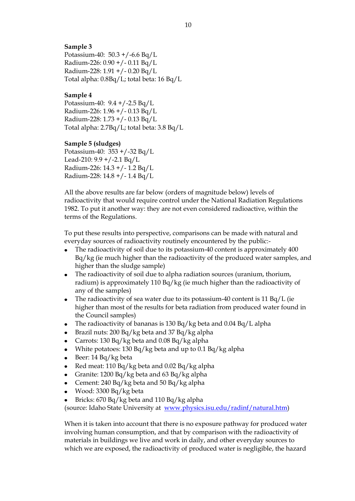#### **Sample 3**

Potassium-40: 50.3 +/-6.6 Bq/L Radium-226: 0.90 +/- 0.11 Bq/L Radium-228: 1.91 +/- 0.20 Bq/L Total alpha: 0.8Bq/L; total beta: 16 Bq/L

#### **Sample 4**

Potassium-40: 9.4 +/-2.5 Bq/L Radium-226: 1.96 +/- 0.13 Bq/L Radium-228: 1.73 +/- 0.13 Bq/L Total alpha: 2.7Bq/L; total beta: 3.8 Bq/L

#### **Sample 5 (sludges)**

Potassium-40: 353 +/-32 Bq/L Lead-210:  $9.9 + / -2.1$  Bq/L Radium-226: 14.3 +/- 1.2 Bq/L Radium-228: 14.8 +/- 1.4 Bq/L

All the above results are far below (orders of magnitude below) levels of radioactivity that would require control under the National Radiation Regulations 1982. To put it another way: they are not even considered radioactive, within the terms of the Regulations.

To put these results into perspective, comparisons can be made with natural and everyday sources of radioactivity routinely encountered by the public:-

- The radioactivity of soil due to its potassium-40 content is approximately 400 Bq/kg (ie much higher than the radioactivity of the produced water samples, and higher than the sludge sample)
- The radioactivity of soil due to alpha radiation sources (uranium, thorium,  $\bullet$ radium) is approximately 110 Bq/kg (ie much higher than the radioactivity of any of the samples)
- The radioactivity of sea water due to its potassium-40 content is 11 Bq/L (ie higher than most of the results for beta radiation from produced water found in the Council samples)
- $\bullet$ The radioactivity of bananas is 130 Bq/kg beta and 0.04 Bq/L alpha
- Brazil nuts: 200 Bq/kg beta and 37 Bq/kg alpha
- Carrots: 130 Bq/kg beta and 0.08 Bq/kg alpha
- White potatoes: 130 Bq/kg beta and up to 0.1 Bq/kg alpha
- Beer: 14 Bq/kg beta
- Red meat: 110 Bq/kg beta and 0.02 Bq/kg alpha
- Granite: 1200 Bq/kg beta and 63 Bq/kg alpha
- Cement: 240 Bq/kg beta and 50 Bq/kg alpha
- Wood: 3300 Bq/kg beta  $\bullet$
- Bricks: 670 Bq/kg beta and 110 Bq/kg alpha

(source: Idaho State University at [www.physics.isu.edu/radinf/natural.htm\)](http://www.physics.isu.edu/radinf/natural.htm)

When it is taken into account that there is no exposure pathway for produced water involving human consumption, and that by comparison with the radioactivity of materials in buildings we live and work in daily, and other everyday sources to which we are exposed, the radioactivity of produced water is negligible, the hazard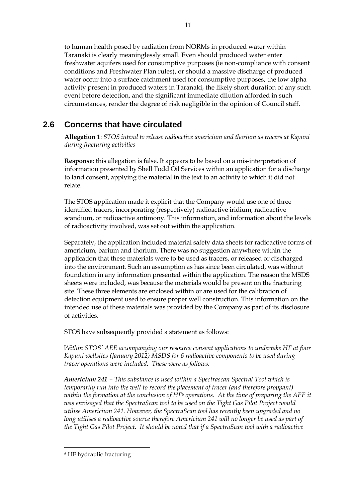to human health posed by radiation from NORMs in produced water within Taranaki is clearly meaninglessly small. Even should produced water enter freshwater aquifers used for consumptive purposes (ie non-compliance with consent conditions and Freshwater Plan rules), or should a massive discharge of produced water occur into a surface catchment used for consumptive purposes, the low alpha activity present in produced waters in Taranaki, the likely short duration of any such event before detection, and the significant immediate dilution afforded in such circumstances, render the degree of risk negligible in the opinion of Council staff.

## <span id="page-16-0"></span>**2.6 Concerns that have circulated**

**Allegation 1**: *STOS intend to release radioactive americium and thorium as tracers at Kapuni during fracturing activities*

**Response**: this allegation is false. It appears to be based on a mis-interpretation of information presented by Shell Todd Oil Services within an application for a discharge to land consent, applying the material in the text to an activity to which it did not relate.

The STOS application made it explicit that the Company would use one of three identified tracers, incorporating (respectively) radioactive iridium, radioactive scandium, or radioactive antimony. This information, and information about the levels of radioactivity involved, was set out within the application.

Separately, the application included material safety data sheets for radioactive forms of americium, barium and thorium. There was no suggestion anywhere within the application that these materials were to be used as tracers, or released or discharged into the environment. Such an assumption as has since been circulated, was without foundation in any information presented within the application. The reason the MSDS sheets were included, was because the materials would be present on the fracturing site. These three elements are enclosed within or are used for the calibration of detection equipment used to ensure proper well construction. This information on the intended use of these materials was provided by the Company as part of its disclosure of activities.

STOS have subsequently provided a statement as follows:

*Within STOS' AEE accompanying our resource consent applications to undertake HF at four Kapuni wellsites (January 2012) MSDS for 6 radioactive components to be used during tracer operations were included. These were as follows:*

*Americium 241 – This substance is used within a Spectrascan Spectral Tool which is temporarily run into the well to record the placement of tracer (and therefore proppant) within the formation at the conclusion of HF<sup>6</sup> operations. At the time of preparing the AEE it was envisaged that the SpectraScan tool to be used on the Tight Gas Pilot Project would utilise Americium 241. However, the SpectraScan tool has recently been upgraded and no*  long utilises a radioactive source therefore Americium 241 will no longer be used as part of *the Tight Gas Pilot Project. It should be noted that if a SpectraScan tool with a radioactive* 

-

<sup>6</sup> HF hydraulic fracturing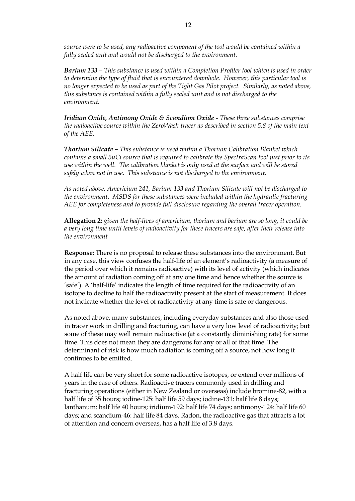*source were to be used, any radioactive component of the tool would be contained within a fully sealed unit and would not be discharged to the environment.*

*Barium 133 – This substance is used within a Completion Profiler tool which is used in order to determine the type of fluid that is encountered downhole. However, this particular tool is no longer expected to be used as part of the Tight Gas Pilot project. Similarly, as noted above, this substance is contained within a fully sealed unit and is not discharged to the environment.* 

*Iridium Oxide, Antimony Oxide & Scandium Oxide - These three substances comprise the radioactive source within the ZeroWash tracer as described in section 5.8 of the main text of the AEE.*

*Thorium Silicate – This substance is used within a Thorium Calibration Blanket which contains a small 5uCi source that is required to calibrate the SpectraScan tool just prior to its use within the well. The calibration blanket is only used at the surface and will be stored safely when not in use. This substance is not discharged to the environment.*

*As noted above, Americium 241, Barium 133 and Thorium Silicate will not be discharged to the environment. MSDS for these substances were included within the hydraulic fracturing AEE for completeness and to provide full disclosure regarding the overall tracer operation.*

**Allegation 2:** *given the half-lives of americium, thorium and barium are so long, it could be a very long time until levels of radioactivity for these tracers are safe, after their release into the environment*

**Response:** There is no proposal to release these substances into the environment. But in any case, this view confuses the half-life of an element's radioactivity (a measure of the period over which it remains radioactive) with its level of activity (which indicates the amount of radiation coming off at any one time and hence whether the source is 'safe'). A 'half-life' indicates the length of time required for the radioactivity of an isotope to decline to half the radioactivity present at the start of measurement. It does not indicate whether the level of radioactivity at any time is safe or dangerous.

As noted above, many substances, including everyday substances and also those used in tracer work in drilling and fracturing, can have a very low level of radioactivity; but some of these may well remain radioactive (at a constantly diminishing rate) for some time. This does not mean they are dangerous for any or all of that time. The determinant of risk is how much radiation is coming off a source, not how long it continues to be emitted.

A half life can be very short for some radioactive isotopes, or extend over millions of years in the case of others. Radioactive tracers commonly used in drilling and fracturing operations (either in New Zealand or overseas) include bromine-82, with a half life of 35 hours; iodine-125: half life 59 days; iodine-131: half life 8 days; lanthanum: half life 40 hours; iridium-192: half life 74 days; antimony-124: half life 60 days; and scandium-46: half life 84 days. Radon, the radioactive gas that attracts a lot of attention and concern overseas, has a half life of 3.8 days.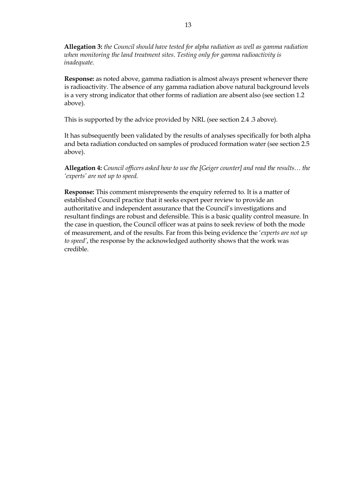**Allegation 3:** *the Council should have tested for alpha radiation as well as gamma radiation when monitoring the land treatment sites. Testing only for gamma radioactivity is inadequate.*

**Response:** as noted above, gamma radiation is almost always present whenever there is radioactivity. The absence of any gamma radiation above natural background levels is a very strong indicator that other forms of radiation are absent also (see section 1.2 above).

This is supported by the advice provided by NRL (see section 2.4 .3 above).

It has subsequently been validated by the results of analyses specifically for both alpha and beta radiation conducted on samples of produced formation water (see section 2.5 above).

**Allegation 4:** *Council officers asked how to use the [Geiger counter] and read the results… the 'experts' are not up to speed.*

**Response:** This comment misrepresents the enquiry referred to. It is a matter of established Council practice that it seeks expert peer review to provide an authoritative and independent assurance that the Council's investigations and resultant findings are robust and defensible. This is a basic quality control measure. In the case in question, the Council officer was at pains to seek review of both the mode of measurement, and of the results. Far from this being evidence the '*experts are not up to speed'*, the response by the acknowledged authority shows that the work was credible.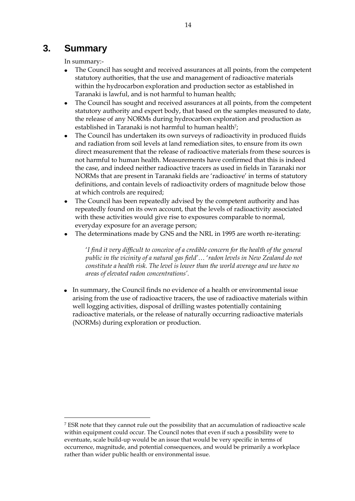# <span id="page-19-0"></span>**3. Summary**

<u>.</u>

In summary:-

- The Council has sought and received assurances at all points, from the competent statutory authorities, that the use and management of radioactive materials within the hydrocarbon exploration and production sector as established in Taranaki is lawful, and is not harmful to human health;
- The Council has sought and received assurances at all points, from the competent  $\bullet$ statutory authority and expert body, that based on the samples measured to date, the release of any NORMs during hydrocarbon exploration and production as established in Taranaki is not harmful to human health<sup>7</sup>;
- The Council has undertaken its own surveys of radioactivity in produced fluids  $\bullet$ and radiation from soil levels at land remediation sites, to ensure from its own direct measurement that the release of radioactive materials from these sources is not harmful to human health. Measurements have confirmed that this is indeed the case, and indeed neither radioactive tracers as used in fields in Taranaki nor NORMs that are present in Taranaki fields are 'radioactive' in terms of statutory definitions, and contain levels of radioactivity orders of magnitude below those at which controls are required;
- The Council has been repeatedly advised by the competent authority and has repeatedly found on its own account, that the levels of radioactivity associated with these activities would give rise to exposures comparable to normal, everyday exposure for an average person;
- The determinations made by GNS and the NRL in 1995 are worth re-iterating:

'*I find it very difficult to conceive of a credible concern for the health of the general public in the vicinity of a natural gas field'*… '*radon levels in New Zealand do not constitute a health risk. The level is lower than the world average and we have no areas of elevated radon concentrations'.*

In summary, the Council finds no evidence of a health or environmental issue arising from the use of radioactive tracers, the use of radioactive materials within well logging activities, disposal of drilling wastes potentially containing radioactive materials, or the release of naturally occurring radioactive materials (NORMs) during exploration or production.

<sup>7</sup> ESR note that they cannot rule out the possibility that an accumulation of radioactive scale within equipment could occur. The Council notes that even if such a possibility were to eventuate, scale build-up would be an issue that would be very specific in terms of occurrence, magnitude, and potential consequences, and would be primarily a workplace rather than wider public health or environmental issue.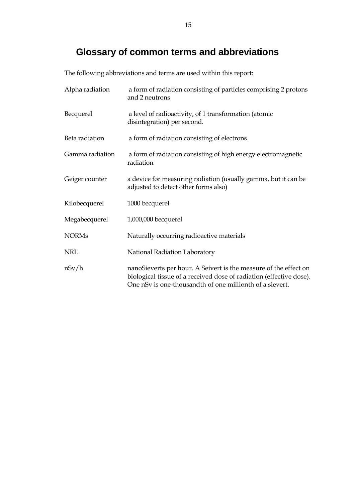# **Glossary of common terms and abbreviations**

<span id="page-20-0"></span>The following abbreviations and terms are used within this report:

| Alpha radiation | a form of radiation consisting of particles comprising 2 protons<br>and 2 neutrons                                                                                                                  |
|-----------------|-----------------------------------------------------------------------------------------------------------------------------------------------------------------------------------------------------|
| Becquerel       | a level of radioactivity, of 1 transformation (atomic<br>disintegration) per second.                                                                                                                |
| Beta radiation  | a form of radiation consisting of electrons                                                                                                                                                         |
| Gamma radiation | a form of radiation consisting of high energy electromagnetic<br>radiation                                                                                                                          |
| Geiger counter  | a device for measuring radiation (usually gamma, but it can be<br>adjusted to detect other forms also)                                                                                              |
| Kilobecquerel   | 1000 becquerel                                                                                                                                                                                      |
| Megabecquerel   | 1,000,000 becquerel                                                                                                                                                                                 |
| <b>NORMs</b>    | Naturally occurring radioactive materials                                                                                                                                                           |
| <b>NRL</b>      | National Radiation Laboratory                                                                                                                                                                       |
| nSv/h           | nanoSieverts per hour. A Seivert is the measure of the effect on<br>biological tissue of a received dose of radiation (effective dose).<br>One nSv is one-thousandth of one millionth of a sievert. |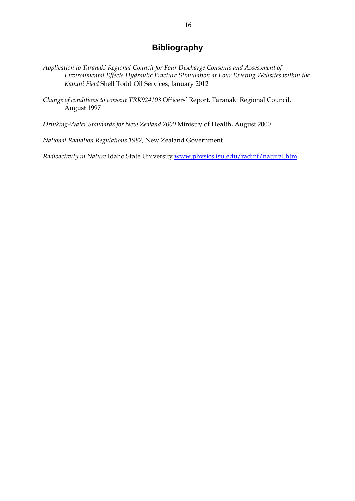## **Bibliography**

- <span id="page-21-0"></span>*Application to Taranaki Regional Council for Four Discharge Consents and Assessment of Environmental Effects Hydraulic Fracture Stimulation at Four Existing Wellsites within the Kapuni Field* Shell Todd Oil Services, January 2012
- *Change of conditions to consent TRK924103* Officers' Report, Taranaki Regional Council, August 1997

*Drinking-Water Standards for New Zealand 2000* Ministry of Health, August 2000

*National Radiation Regulations 1982,* New Zealand Government

*Radioactivity in Nature* Idaho State University [www.physics.isu.edu/radinf/natural.htm](http://www.physics.isu.edu/radinf/natural.htm)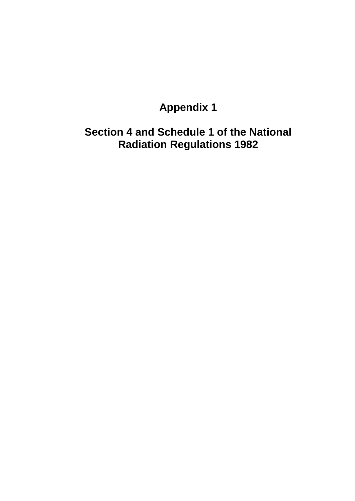# **Appendix 1**

<span id="page-22-0"></span>**Section 4 and Schedule 1 of the National Radiation Regulations 1982**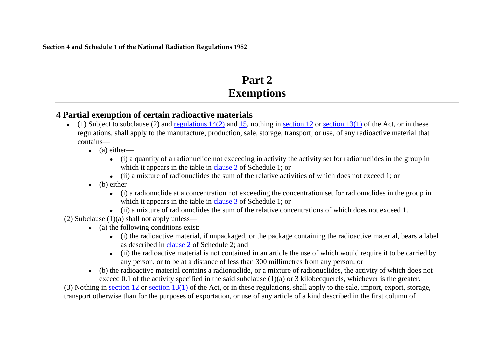**Section 4 and Schedule 1 of the National Radiation Regulations 1982**

# **Part 2 Exemptions**

# **4 Partial exemption of certain radioactive materials**

- $\bullet$  (1) Subject to subclause (2) and [regulations 14\(2\)](http://www.legislation.govt.nz/regulation/public/1982/0072/latest/whole.html#DLM81185) and [15,](http://www.legislation.govt.nz/regulation/public/1982/0072/latest/whole.html#DLM81187) nothing in [section 12](http://www.legislation.govt.nz/regulation/public/1982/0072/latest/link.aspx?id=DLM373115) or [section 13\(1\)](http://www.legislation.govt.nz/regulation/public/1982/0072/latest/link.aspx?id=DLM373117) of the Act, or in these regulations, shall apply to the manufacture, production, sale, storage, transport, or use, of any radioactive material that contains—
	- $\bullet$  (a) either—
		- (i) a quantity of a radionuclide not exceeding in activity the activity set for radionuclides in the group in which it appears in the table in [clause 2](http://www.legislation.govt.nz/regulation/public/1982/0072/latest/whole.html#DLM81512) of Schedule 1; or
		- (ii) a mixture of radionuclides the sum of the relative activities of which does not exceed 1; or
	- $\bullet$  (b) either—
		- (i) a radionuclide at a concentration not exceeding the concentration set for radionuclides in the group in which it appears in the table in [clause 3](http://www.legislation.govt.nz/regulation/public/1982/0072/latest/whole.html#DLM81514) of Schedule 1; or
		- (ii) a mixture of radionuclides the sum of the relative concentrations of which does not exceed 1.
- (2) Subclause  $(1)(a)$  shall not apply unless—
	- $\bullet$  (a) the following conditions exist:
		- (i) the radioactive material, if unpackaged, or the package containing the radioactive material, bears a label as described in [clause 2](http://www.legislation.govt.nz/regulation/public/1982/0072/latest/whole.html#DLM81520) of Schedule 2; and
		- (ii) the radioactive material is not contained in an article the use of which would require it to be carried by any person, or to be at a distance of less than 300 millimetres from any person; or
	- (b) the radioactive material contains a radionuclide, or a mixture of radionuclides, the activity of which does not exceed 0.1 of the activity specified in the said subclause (1)(a) or 3 kilobecquerels, whichever is the greater.

(3) Nothing in [section 12](http://www.legislation.govt.nz/regulation/public/1982/0072/latest/link.aspx?id=DLM373115) or [section 13\(1\)](http://www.legislation.govt.nz/regulation/public/1982/0072/latest/link.aspx?id=DLM373117) of the Act, or in these regulations, shall apply to the sale, import, export, storage, transport otherwise than for the purposes of exportation, or use of any article of a kind described in the first column of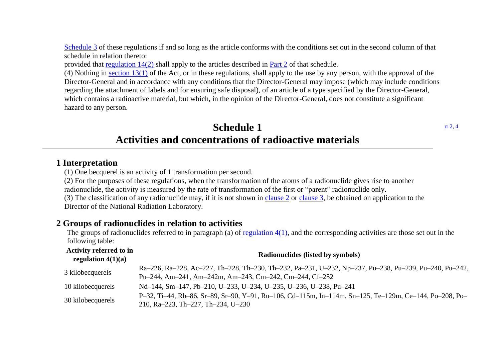[Schedule 3](http://www.legislation.govt.nz/regulation/public/1982/0072/latest/whole.html#DLM81525) of these regulations if and so long as the article conforms with the conditions set out in the second column of that schedule in relation thereto:

provided that [regulation 14\(2\)](http://www.legislation.govt.nz/regulation/public/1982/0072/latest/whole.html#DLM81185) shall apply to the articles described in [Part 2](http://www.legislation.govt.nz/regulation/public/1982/0072/latest/whole.html#DLM81173) of that schedule.

(4) Nothing in section  $13(1)$  of the Act, or in these regulations, shall apply to the use by any person, with the approval of the Director-General and in accordance with any conditions that the Director-General may impose (which may include conditions regarding the attachment of labels and for ensuring safe disposal), of an article of a type specified by the Director-General, which contains a radioactive material, but which, in the opinion of the Director-General, does not constitute a significant hazard to any person.

# **Schedule 1 Activities and concentrations of radioactive materials**

### **1 Interpretation**

(1) One becquerel is an activity of 1 transformation per second.

(2) For the purposes of these regulations, when the transformation of the atoms of a radionuclide gives rise to another radionuclide, the activity is measured by the rate of transformation of the first or "parent" radionuclide only. (3) The classification of any radionuclide may, if it is not shown in [clause 2](http://www.legislation.govt.nz/regulation/public/1982/0072/latest/link.aspx?id=DLM81512) or [clause 3,](http://www.legislation.govt.nz/regulation/public/1982/0072/latest/link.aspx?id=DLM81514) be obtained on application to the Director of the National Radiation Laboratory.

## **2 Groups of radionuclides in relation to activities**

The groups of radionuclides referred to in paragraph (a) of [regulation 4\(1\),](http://www.legislation.govt.nz/regulation/public/1982/0072/latest/link.aspx?id=DLM81174) and the corresponding activities are those set out in the following table:

| Activity referred to in<br>regulation $4(1)(a)$ | <b>Radionuclides (listed by symbols)</b>                                                               |
|-------------------------------------------------|--------------------------------------------------------------------------------------------------------|
| 3 kilobecquerels                                | Ra-226, Ra-228, Ac-227, Th-228, Th-230, Th-232, Pa-231, U-232, Np-237, Pu-238, Pu-239, Pu-240, Pu-242, |
|                                                 | Pu-244, Am-241, Am-242m, Am-243, Cm-242, Cm-244, Cf-252                                                |
| 10 kilobecquerels                               | Nd-144, Sm-147, Pb-210, U-233, U-234, U-235, U-236, U-238, Pu-241                                      |
|                                                 | P-32, Ti-44, Rb-86, Sr-89, Sr-90, Y-91, Ru-106, Cd-115m, In-114m, Sn-125, Te-129m, Ce-144, Po-208, Po- |
| 30 kilobecquerels                               | 210, Ra-223, Th-227, Th-234, U-230                                                                     |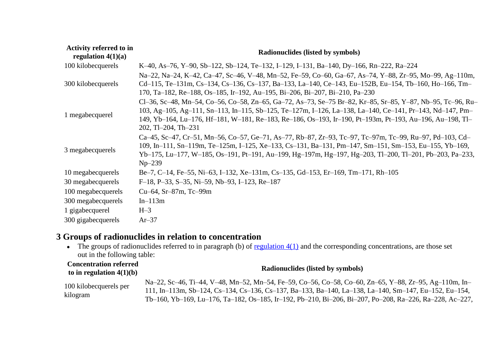| Activity referred to in<br>regulation $4(1)(a)$ | Radionuclides (listed by symbols)                                                                                                                                                                                                                                                                                                                           |
|-------------------------------------------------|-------------------------------------------------------------------------------------------------------------------------------------------------------------------------------------------------------------------------------------------------------------------------------------------------------------------------------------------------------------|
| 100 kilobecquerels                              | K-40, As-76, Y-90, Sb-122, Sb-124, Te-132, I-129, I-131, Ba-140, Dy-166, Rn-222, Ra-224                                                                                                                                                                                                                                                                     |
| 300 kilobecquerels                              | Na-22, Na-24, K-42, Ca-47, Sc-46, V-48, Mn-52, Fe-59, Co-60, Ga-67, As-74, Y-88, Zr-95, Mo-99, Ag-110m,<br>Cd-115, Te-131m, Cs-134, Cs-136, Cs-137, Ba-133, La-140, Ce-143, Eu-152B, Eu-154, Tb-160, Ho-166, Tm-<br>170, Ta-182, Re-188, Os-185, Ir-192, Au-195, Bi-206, Bi-207, Bi-210, Pa-230                                                             |
| 1 megabecquerel                                 | Cl-36, Sc-48, Mn-54, Co-56, Co-58, Zn-65, Ga-72, As-73, Se-75 Br-82, Kr-85, Sr-85, Y-87, Nb-95, Tc-96, Ru-<br>103, Ag-105, Ag-111, Sn-113, In-115, Sb-125, Te-127m, I-126, La-138, La-140, Ce-141, Pr-143, Nd-147, Pm-<br>149, Yb-164, Lu-176, Hf-181, W-181, Re-183, Re-186, Os-193, Ir-190, Pt-193m, Pt-193, Au-196, Au-198, Tl-<br>$202, T1-204, Th-231$ |
| 3 megabecquerels                                | Ca-45, Sc-47, Cr-51, Mn-56, Co-57, Ge-71, As-77, Rb-87, Zr-93, Tc-97, Tc-97m, Tc-99, Ru-97, Pd-103, Cd-<br>109, In-111, Sn-119m, Te-125m, I-125, Xe-133, Cs-131, Ba-131, Pm-147, Sm-151, Sm-153, Eu-155, Yb-169,<br>Yb-175, Lu-177, W-185, Os-191, Pt-191, Au-199, Hg-197m, Hg-197, Hg-203, Tl-200, Tl-201, Pb-203, Pa-233,<br>$Np-239$                     |
| 10 megabecquerels                               | Be-7, C-14, Fe-55, Ni-63, I-132, Xe-131m, Cs-135, Gd-153, Er-169, Tm-171, Rh-105                                                                                                                                                                                                                                                                            |
| 30 megabecquerels                               | F-18, P-33, S-35, Ni-59, Nb-93, I-123, Re-187                                                                                                                                                                                                                                                                                                               |
| 100 megabecquerels                              | $Cu-64$ , Sr $-87m$ , Tc $-99m$                                                                                                                                                                                                                                                                                                                             |
| 300 megabecquerels                              | $In-113m$                                                                                                                                                                                                                                                                                                                                                   |
| 1 gigabecquerel                                 | $H-3$                                                                                                                                                                                                                                                                                                                                                       |
| 300 gigabecquerels                              | $Ar-37$                                                                                                                                                                                                                                                                                                                                                     |

# **3 Groups of radionuclides in relation to concentration**

• The groups of radionuclides referred to in paragraph (b) of regulation  $4(1)$  and the corresponding concentrations, are those set out in the following table:

| <b>Concentration referred</b><br>to in regulation $4(1)(b)$ | <b>Radionuclides (listed by symbols)</b>                                                                                                                                                                                                                                                                                  |
|-------------------------------------------------------------|---------------------------------------------------------------------------------------------------------------------------------------------------------------------------------------------------------------------------------------------------------------------------------------------------------------------------|
| 100 kilobecquerels per<br>kilogram                          | Na-22, Sc-46, Ti-44, V-48, Mn-52, Mn-54, Fe-59, Co-56, Co-58, Co-60, Zn-65, Y-88, Zr-95, Ag-110m, In-<br>111, In-113m, Sb-124, Cs-134, Cs-136, Cs-137, Ba-133, Ba-140, La-138, La-140, Sm-147, Eu-152, Eu-154,<br>Tb-160, Yb-169, Lu-176, Ta-182, Os-185, Ir-192, Pb-210, Bi-206, Bi-207, Po-208, Ra-226, Ra-228, Ac-227, |